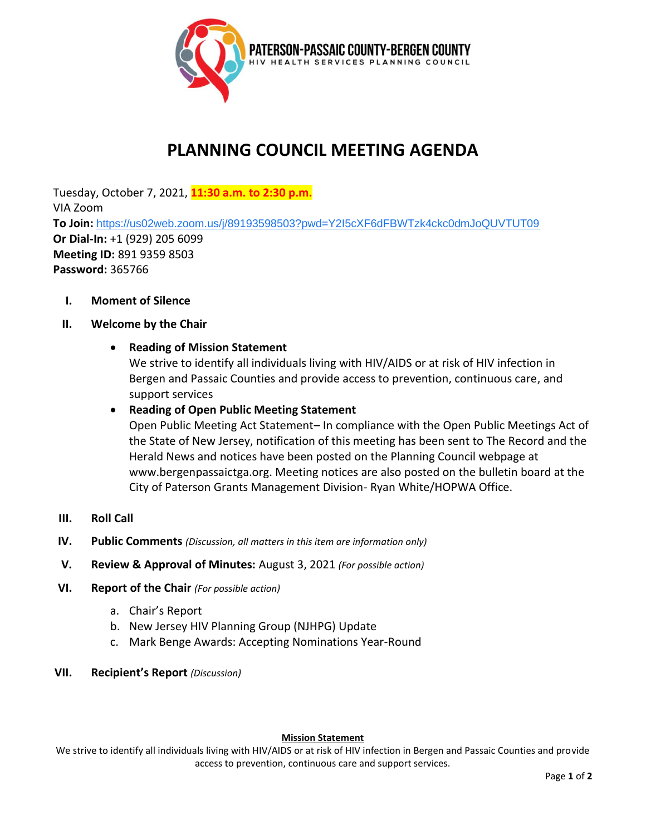

# **PLANNING COUNCIL MEETING AGENDA**

Tuesday, October 7, 2021, **11:30 a.m. to 2:30 p.m.** VIA Zoom **To Join:** <https://us02web.zoom.us/j/89193598503?pwd=Y2I5cXF6dFBWTzk4ckc0dmJoQUVTUT09> **Or Dial-In:** +1 (929) 205 6099 **Meeting ID:** 891 9359 8503 **Password:** 365766

**I. Moment of Silence**

## **II. Welcome by the Chair**

## • **Reading of Mission Statement**

We strive to identify all individuals living with HIV/AIDS or at risk of HIV infection in Bergen and Passaic Counties and provide access to prevention, continuous care, and support services

## • **Reading of Open Public Meeting Statement**

Open Public Meeting Act Statement– In compliance with the Open Public Meetings Act of the State of New Jersey, notification of this meeting has been sent to The Record and the Herald News and notices have been posted on the Planning Council webpage at www.bergenpassaictga.org. Meeting notices are also posted on the bulletin board at the City of Paterson Grants Management Division- Ryan White/HOPWA Office.

- **III. Roll Call**
- **IV. Public Comments** *(Discussion, all matters in this item are information only)*
- **V. Review & Approval of Minutes:** August 3, 2021 *(For possible action)*
- **VI. Report of the Chair** *(For possible action)* 
	- a. Chair's Report
	- b. New Jersey HIV Planning Group (NJHPG) Update
	- c. Mark Benge Awards: Accepting Nominations Year-Round
- **VII. Recipient's Report** *(Discussion)*

### **Mission Statement**

We strive to identify all individuals living with HIV/AIDS or at risk of HIV infection in Bergen and Passaic Counties and provide access to prevention, continuous care and support services.